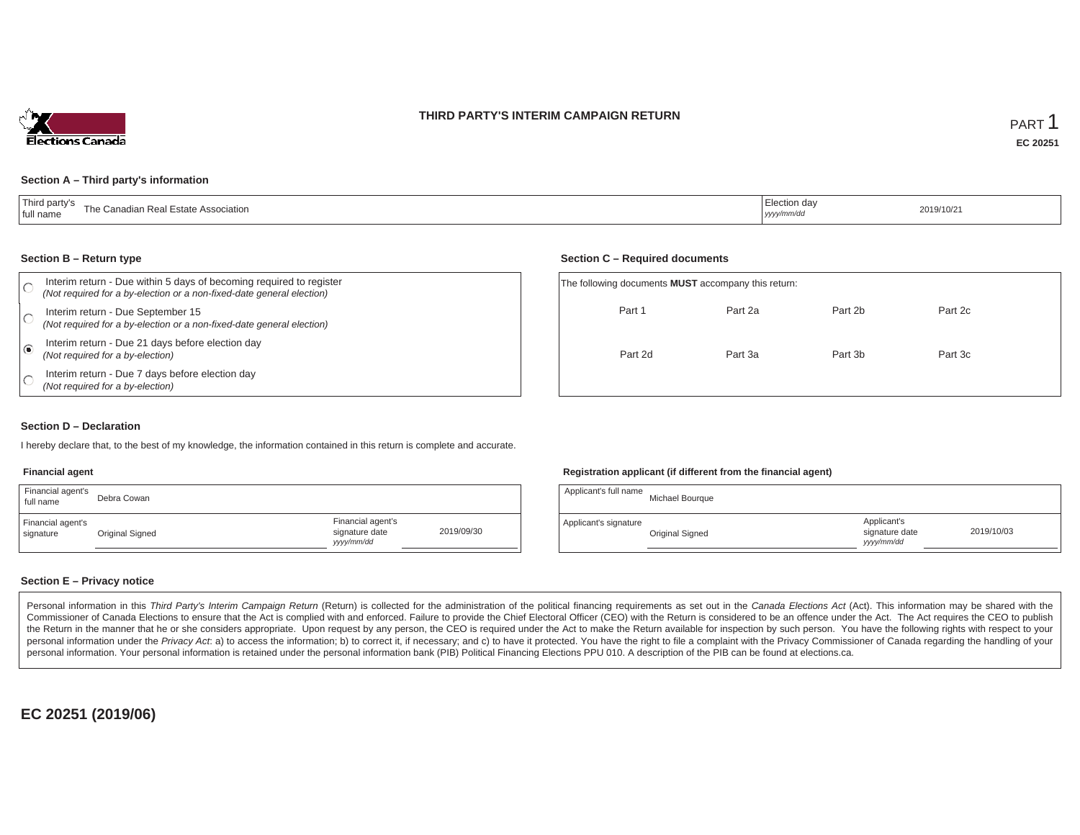### **THIRD PARTY'S INTERIM CAMPAIGN RETURN**



#### **Section A – Third party's information**

#### **Section B – Return type**

| Interim return - Due within 5 days of becoming required to register<br>(Not required for a by-election or a non-fixed-date general election) | The following documents <b>MUST</b> accompany this return: |         |         |         |  |
|----------------------------------------------------------------------------------------------------------------------------------------------|------------------------------------------------------------|---------|---------|---------|--|
| Interim return - Due September 15<br>(Not required for a by-election or a non-fixed-date general election)                                   | Part 1                                                     | Part 2a | Part 2b | Part 2c |  |
| Interim return - Due 21 days before election day<br>(Not required for a by-election)                                                         | Part 2d                                                    | Part 3a | Part 3b | Part 3c |  |
| Interim return - Due 7 days before election day<br>(Not required for a by-election)                                                          |                                                            |         |         |         |  |

### **Section D – Declaration**

I hereby declare that, to the best of my knowledge, the information contained in this return is complete and accurate.

#### **Financial agent**

| Financial agent's<br>full name | Debra Cowan     |                                                  |            |
|--------------------------------|-----------------|--------------------------------------------------|------------|
| Financial agent's<br>signature | Original Signed | Financial agent's<br>signature date<br>yyy/mm/dd | 2019/09/30 |

### **Registration applicant (if different from the financial agent)**

| Applicant's full name | Michael Bourgue |                                             |            |
|-----------------------|-----------------|---------------------------------------------|------------|
| Applicant's signature | Original Signed | Applicant's<br>signature date<br>yyyy/mm/dd | 2019/10/03 |

### **Section E – Privacy notice**

Personal information in this Third Party's Interim Campaign Return (Return) is collected for the administration of the political financing requirements as set out in the Canada Elections Act (Act). This information may be Commissioner of Canada Elections to ensure that the Act is complied with and enforced. Failure to provide the Chief Electoral Officer (CEO) with the Return is considered to be an offence under the Act. The Act requires the the Return in the manner that he or she considers appropriate. Upon request by any person, the CEO is required under the Act to make the Return available for inspection by such person. You have the following rights with re personal information under the Privacy Act. a) to access the information; b) to correct it, if necessary; and c) to have it protected. You have the right to file a complaint with the Privacy Commissioner of Canada regardin personal information. Your personal information is retained under the personal information bank (PIB) Political Financing Elections PPU 010. A description of the PIB can be found at elections.ca.

**EC 20251 (2019/06)**

### **Section C – Required documents**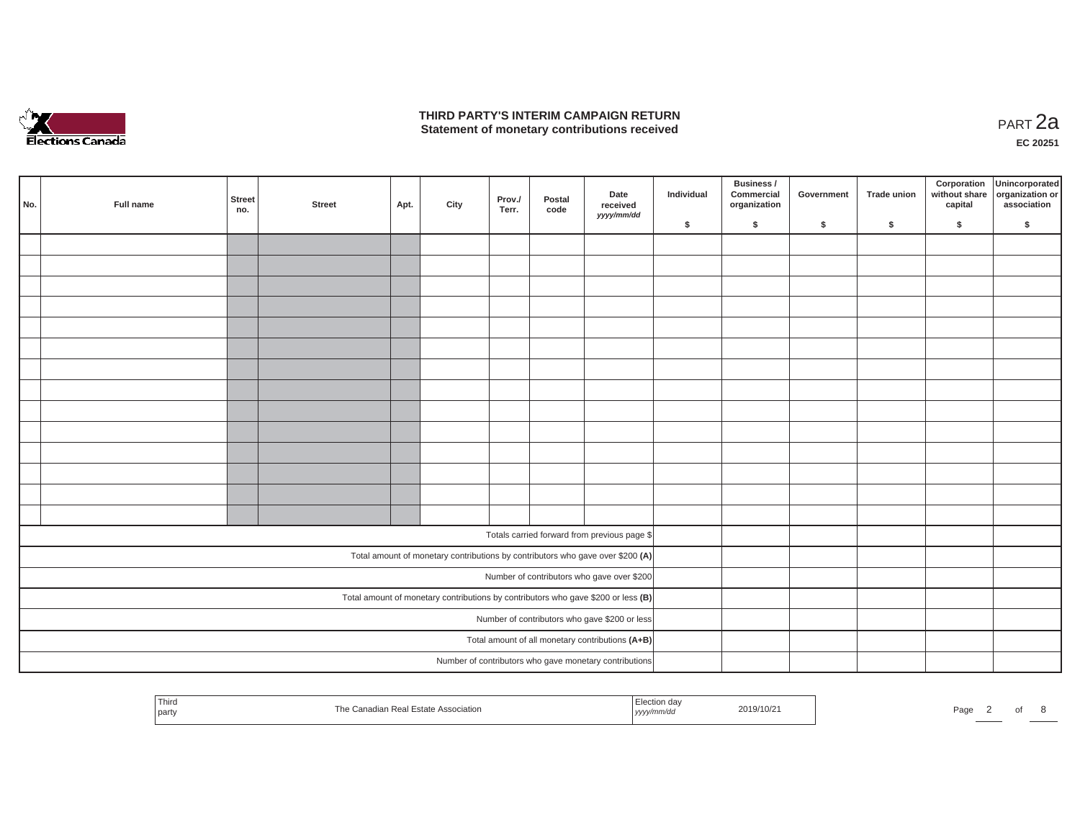

## **THIRD PARTY'S INTERIM CAMPAIGN RETURN THIRD PARTY'S INTERIM CAMPAIGN RETURN<br>Statement of monetary contributions received PART 2a**

| No. | Full name | Street<br>no. | <b>Street</b> | Apt. | City | Prov./<br>Terr. | Postal<br>code | Date<br>received<br>yyyy/mm/dd                                                      | Individual | Business /<br>Commercial<br>organization | Government | Trade union | Corporation | Unincorporated<br>without share<br>capital dissociation or<br>association |
|-----|-----------|---------------|---------------|------|------|-----------------|----------------|-------------------------------------------------------------------------------------|------------|------------------------------------------|------------|-------------|-------------|---------------------------------------------------------------------------|
|     |           |               |               |      |      |                 |                |                                                                                     | \$         | \$                                       | \$         | \$          | \$          | \$                                                                        |
|     |           |               |               |      |      |                 |                |                                                                                     |            |                                          |            |             |             |                                                                           |
|     |           |               |               |      |      |                 |                |                                                                                     |            |                                          |            |             |             |                                                                           |
|     |           |               |               |      |      |                 |                |                                                                                     |            |                                          |            |             |             |                                                                           |
|     |           |               |               |      |      |                 |                |                                                                                     |            |                                          |            |             |             |                                                                           |
|     |           |               |               |      |      |                 |                |                                                                                     |            |                                          |            |             |             |                                                                           |
|     |           |               |               |      |      |                 |                |                                                                                     |            |                                          |            |             |             |                                                                           |
|     |           |               |               |      |      |                 |                |                                                                                     |            |                                          |            |             |             |                                                                           |
|     |           |               |               |      |      |                 |                |                                                                                     |            |                                          |            |             |             |                                                                           |
|     |           |               |               |      |      |                 |                |                                                                                     |            |                                          |            |             |             |                                                                           |
|     |           |               |               |      |      |                 |                |                                                                                     |            |                                          |            |             |             |                                                                           |
|     |           |               |               |      |      |                 |                |                                                                                     |            |                                          |            |             |             |                                                                           |
|     |           |               |               |      |      |                 |                |                                                                                     |            |                                          |            |             |             |                                                                           |
|     |           |               |               |      |      |                 |                |                                                                                     |            |                                          |            |             |             |                                                                           |
|     |           |               |               |      |      |                 |                |                                                                                     |            |                                          |            |             |             |                                                                           |
|     |           |               |               |      |      |                 |                |                                                                                     |            |                                          |            |             |             |                                                                           |
|     |           |               |               |      |      |                 |                | Totals carried forward from previous page \$                                        |            |                                          |            |             |             |                                                                           |
|     |           |               |               |      |      |                 |                | Total amount of monetary contributions by contributors who gave over \$200 (A)      |            |                                          |            |             |             |                                                                           |
|     |           |               |               |      |      |                 |                | Number of contributors who gave over \$200                                          |            |                                          |            |             |             |                                                                           |
|     |           |               |               |      |      |                 |                | Total amount of monetary contributions by contributors who gave \$200 or less $(B)$ |            |                                          |            |             |             |                                                                           |
|     |           |               |               |      |      |                 |                | Number of contributors who gave \$200 or less                                       |            |                                          |            |             |             |                                                                           |
|     |           |               |               |      |      |                 |                | Total amount of all monetary contributions (A+B)                                    |            |                                          |            |             |             |                                                                           |
|     |           |               |               |      |      |                 |                | Number of contributors who gave monetary contributions                              |            |                                          |            |             |             |                                                                           |

| Third<br>$\sim$<br>.<br>Page<br>∠019′<br>no.<br>iciatio<br><b>SO I AN I ON ST</b><br>l party<br>. |  |  |  |
|---------------------------------------------------------------------------------------------------|--|--|--|
|---------------------------------------------------------------------------------------------------|--|--|--|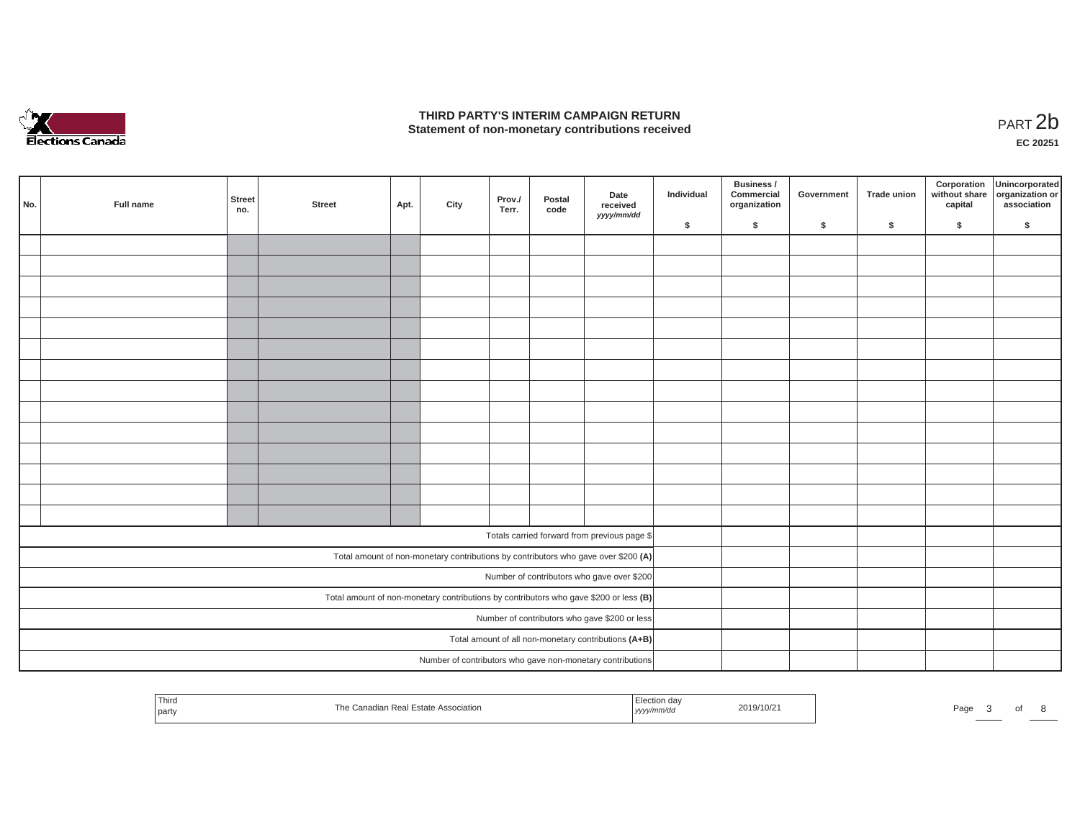

## **THIRD PARTY'S INTERIM CAMPAIGN RETURN**  THIRD PARTY'S INTERIM CAMPAIGN RETURN<br>Statement of non-monetary contributions received<br>**PART 2**b

**EC 20251**

| No. | Full name | Street<br>no. | <b>Street</b> | Apt. | City | Prov./<br>Terr. | Postal<br>code | Date<br>received<br>yyyy/mm/dd                                                        | Individual | Business /<br>Commercial<br>organization | Government | Trade union | Corporation<br>capital | Unincorporated<br>without share organization or<br>association |
|-----|-----------|---------------|---------------|------|------|-----------------|----------------|---------------------------------------------------------------------------------------|------------|------------------------------------------|------------|-------------|------------------------|----------------------------------------------------------------|
|     |           |               |               |      |      |                 |                |                                                                                       | \$         | $\mathsf{s}$                             | \$         | $\sqrt{2}$  | \$                     | \$                                                             |
|     |           |               |               |      |      |                 |                |                                                                                       |            |                                          |            |             |                        |                                                                |
|     |           |               |               |      |      |                 |                |                                                                                       |            |                                          |            |             |                        |                                                                |
|     |           |               |               |      |      |                 |                |                                                                                       |            |                                          |            |             |                        |                                                                |
|     |           |               |               |      |      |                 |                |                                                                                       |            |                                          |            |             |                        |                                                                |
|     |           |               |               |      |      |                 |                |                                                                                       |            |                                          |            |             |                        |                                                                |
|     |           |               |               |      |      |                 |                |                                                                                       |            |                                          |            |             |                        |                                                                |
|     |           |               |               |      |      |                 |                |                                                                                       |            |                                          |            |             |                        |                                                                |
|     |           |               |               |      |      |                 |                |                                                                                       |            |                                          |            |             |                        |                                                                |
|     |           |               |               |      |      |                 |                |                                                                                       |            |                                          |            |             |                        |                                                                |
|     |           |               |               |      |      |                 |                |                                                                                       |            |                                          |            |             |                        |                                                                |
|     |           |               |               |      |      |                 |                |                                                                                       |            |                                          |            |             |                        |                                                                |
|     |           |               |               |      |      |                 |                |                                                                                       |            |                                          |            |             |                        |                                                                |
|     |           |               |               |      |      |                 |                |                                                                                       |            |                                          |            |             |                        |                                                                |
|     |           |               |               |      |      |                 |                |                                                                                       |            |                                          |            |             |                        |                                                                |
|     |           |               |               |      |      |                 |                |                                                                                       |            |                                          |            |             |                        |                                                                |
|     |           |               |               |      |      |                 |                | Totals carried forward from previous page \$                                          |            |                                          |            |             |                        |                                                                |
|     |           |               |               |      |      |                 |                | Total amount of non-monetary contributions by contributors who gave over \$200 (A)    |            |                                          |            |             |                        |                                                                |
|     |           |               |               |      |      |                 |                | Number of contributors who gave over \$200                                            |            |                                          |            |             |                        |                                                                |
|     |           |               |               |      |      |                 |                | Total amount of non-monetary contributions by contributors who gave \$200 or less (B) |            |                                          |            |             |                        |                                                                |
|     |           |               |               |      |      |                 |                | Number of contributors who gave \$200 or less                                         |            |                                          |            |             |                        |                                                                |
|     |           |               |               |      |      |                 |                | Total amount of all non-monetary contributions (A+B)                                  |            |                                          |            |             |                        |                                                                |
|     |           |               |               |      |      |                 |                | Number of contributors who gave non-monetary contributions                            |            |                                          |            |             |                        |                                                                |
|     |           |               |               |      |      |                 |                |                                                                                       |            |                                          |            |             |                        |                                                                |

| Third<br>and the control of the con-<br>  party | Estate Association<br>Rec | ,,,,, | 110/2 | Page |  |  |
|-------------------------------------------------|---------------------------|-------|-------|------|--|--|
|                                                 |                           |       |       |      |  |  |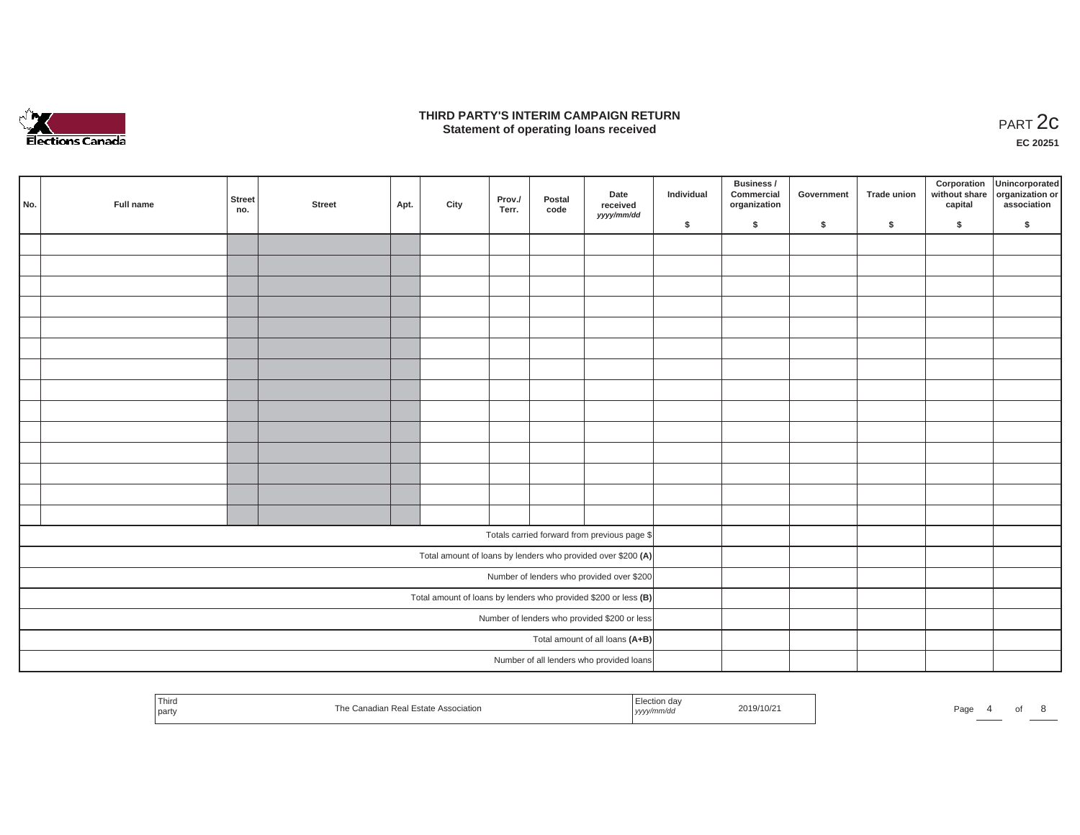

### **THIRD PARTY'S INTERIM CAMPAIGN RETURN**  RD PARTY'S INTERIM CAMPAIGN RETURN<br>Statement of operating loans received **PART 2c**

**EC 20251**

| No. | Full name | <b>Street</b><br>no. | <b>Street</b> | Apt. | City | Prov./<br>Terr. | Postal<br>code | Date<br>received<br>yyyy/mm/dd                                    | Individual | Business /<br>Commercial<br>organization | Government | Trade union | Corporation<br>capital | Unincorporated<br>without share organization or<br>association |
|-----|-----------|----------------------|---------------|------|------|-----------------|----------------|-------------------------------------------------------------------|------------|------------------------------------------|------------|-------------|------------------------|----------------------------------------------------------------|
|     |           |                      |               |      |      |                 |                |                                                                   | \$         | \$                                       | \$         | \$          | \$                     | \$                                                             |
|     |           |                      |               |      |      |                 |                |                                                                   |            |                                          |            |             |                        |                                                                |
|     |           |                      |               |      |      |                 |                |                                                                   |            |                                          |            |             |                        |                                                                |
|     |           |                      |               |      |      |                 |                |                                                                   |            |                                          |            |             |                        |                                                                |
|     |           |                      |               |      |      |                 |                |                                                                   |            |                                          |            |             |                        |                                                                |
|     |           |                      |               |      |      |                 |                |                                                                   |            |                                          |            |             |                        |                                                                |
|     |           |                      |               |      |      |                 |                |                                                                   |            |                                          |            |             |                        |                                                                |
|     |           |                      |               |      |      |                 |                |                                                                   |            |                                          |            |             |                        |                                                                |
|     |           |                      |               |      |      |                 |                |                                                                   |            |                                          |            |             |                        |                                                                |
|     |           |                      |               |      |      |                 |                |                                                                   |            |                                          |            |             |                        |                                                                |
|     |           |                      |               |      |      |                 |                |                                                                   |            |                                          |            |             |                        |                                                                |
|     |           |                      |               |      |      |                 |                |                                                                   |            |                                          |            |             |                        |                                                                |
|     |           |                      |               |      |      |                 |                |                                                                   |            |                                          |            |             |                        |                                                                |
|     |           |                      |               |      |      |                 |                |                                                                   |            |                                          |            |             |                        |                                                                |
|     |           |                      |               |      |      |                 |                |                                                                   |            |                                          |            |             |                        |                                                                |
|     |           |                      |               |      |      |                 |                | Totals carried forward from previous page \$                      |            |                                          |            |             |                        |                                                                |
|     |           |                      |               |      |      |                 |                | Total amount of loans by lenders who provided over \$200 (A)      |            |                                          |            |             |                        |                                                                |
|     |           |                      |               |      |      |                 |                | Number of lenders who provided over \$200                         |            |                                          |            |             |                        |                                                                |
|     |           |                      |               |      |      |                 |                | Total amount of loans by lenders who provided \$200 or less $(B)$ |            |                                          |            |             |                        |                                                                |
|     |           |                      |               |      |      |                 |                | Number of lenders who provided \$200 or less                      |            |                                          |            |             |                        |                                                                |
|     |           |                      |               |      |      |                 |                | Total amount of all loans (A+B)                                   |            |                                          |            |             |                        |                                                                |
|     |           |                      |               |      |      |                 |                | Number of all lenders who provided loans                          |            |                                          |            |             |                        |                                                                |

| 2019/10/21<br>anadian Real Estate Association<br>Page<br>l partv<br>, yyyy/mm/aa | <sup>I</sup> Third |  | Election day |  |
|----------------------------------------------------------------------------------|--------------------|--|--------------|--|
|----------------------------------------------------------------------------------|--------------------|--|--------------|--|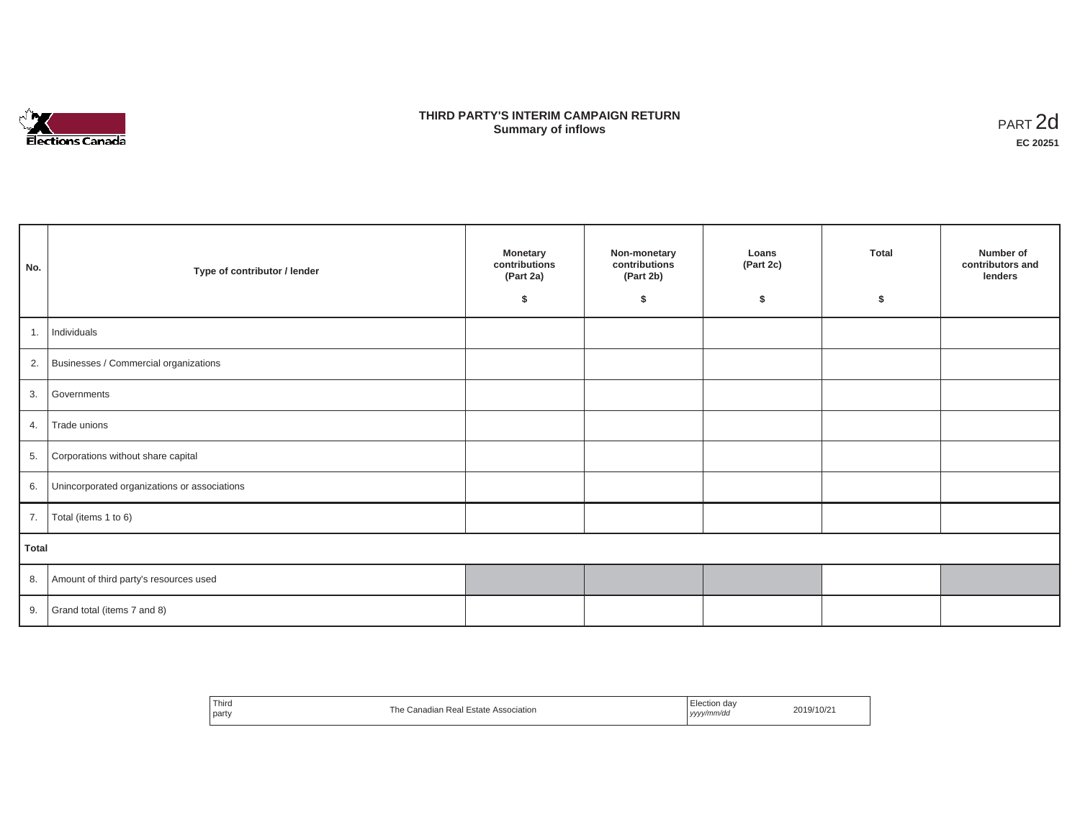

## **THIRD PARTY'S INTERIM CAMPAIGN RETURN SUMMARY STATE SUMMARY OF A SUMMARY OF A SUMMARY OF A SUMMARY OF A SUMMARY OF A SUMMARY OF A SUMMARY OF A SUMMA**<br> **Summary of inflows**

| No.   | Type of contributor / lender                    | <b>Monetary</b><br>contributions<br>(Part 2a)<br>Ŝ. | Non-monetary<br>contributions<br>(Part 2b)<br>\$ | Loans<br>(Part 2c)<br>\$ | <b>Total</b><br>\$ | Number of<br>contributors and<br>lenders |
|-------|-------------------------------------------------|-----------------------------------------------------|--------------------------------------------------|--------------------------|--------------------|------------------------------------------|
|       | 1. Individuals                                  |                                                     |                                                  |                          |                    |                                          |
|       | 2. Businesses / Commercial organizations        |                                                     |                                                  |                          |                    |                                          |
| 3.    | Governments                                     |                                                     |                                                  |                          |                    |                                          |
|       | 4. Trade unions                                 |                                                     |                                                  |                          |                    |                                          |
| 5.    | Corporations without share capital              |                                                     |                                                  |                          |                    |                                          |
|       | 6. Unincorporated organizations or associations |                                                     |                                                  |                          |                    |                                          |
|       | 7.   Total (items 1 to 6)                       |                                                     |                                                  |                          |                    |                                          |
| Total |                                                 |                                                     |                                                  |                          |                    |                                          |
|       | 8. Amount of third party's resources used       |                                                     |                                                  |                          |                    |                                          |
|       | 9. Grand total (items $7$ and $8$ )             |                                                     |                                                  |                          |                    |                                          |

| Third<br>party | The Canadian Real Estate Association | Election dav<br>  yyyy/mm/dd | 2019/10/21 |
|----------------|--------------------------------------|------------------------------|------------|
|----------------|--------------------------------------|------------------------------|------------|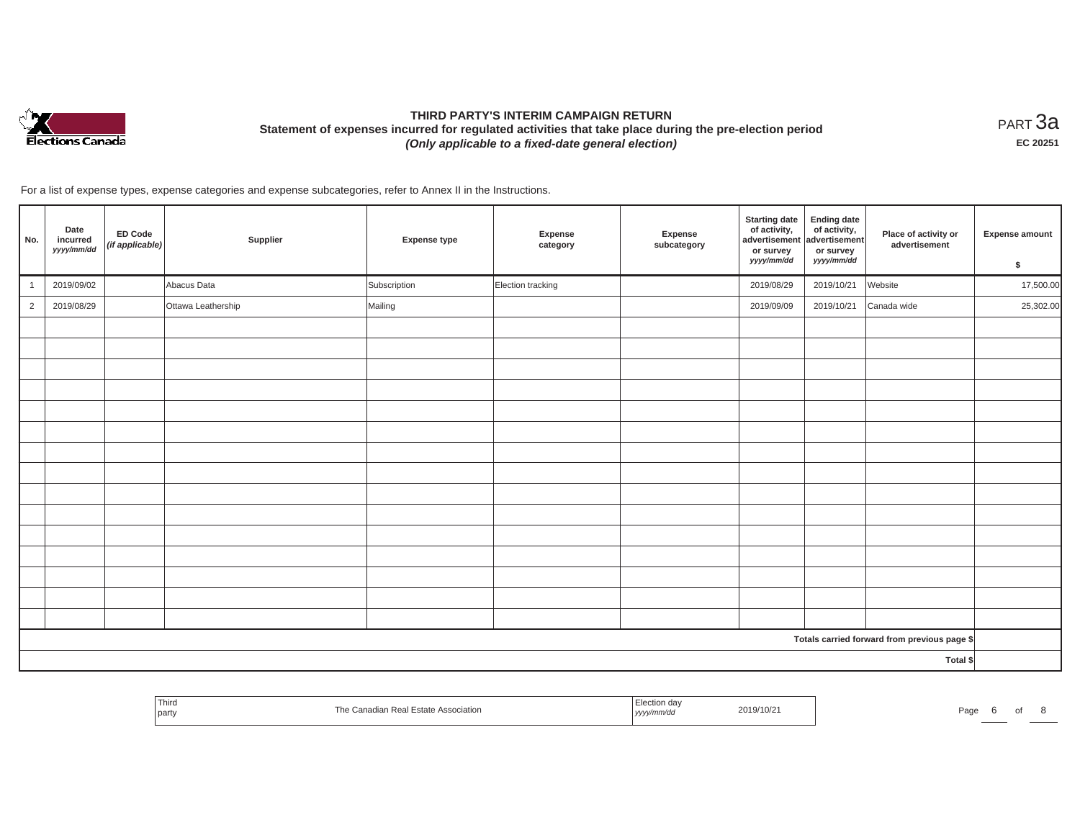

# **THIRD PARTY'S INTERIM CAMPAIGN RETURN Statement of expenses incurred for regulated activities that take place during the pre-election period**  *(Only applicable to a fixed-date general election)*

<code>PART $3$ a</code> **EC 20251**

For a list of expense types, expense categories and expense subcategories, refer to Annex II in the Instructions.

| No.            | Date<br>incurred<br>yyyy/mm/dd | <b>ED Code</b><br>(if applicable) | Supplier           | <b>Expense type</b> | Expense<br>category | Expense<br>subcategory | <b>Starting date</b><br>of activity,<br>advertisement<br>or survey<br>yyyy/mm/dd | <b>Ending date</b><br>of activity,<br>advertisement<br>or survey<br>yyyy/mm/dd | Place of activity or<br>advertisement        | <b>Expense amount</b><br>\$ |
|----------------|--------------------------------|-----------------------------------|--------------------|---------------------|---------------------|------------------------|----------------------------------------------------------------------------------|--------------------------------------------------------------------------------|----------------------------------------------|-----------------------------|
| $\overline{1}$ | 2019/09/02                     |                                   | Abacus Data        | Subscription        | Election tracking   |                        | 2019/08/29                                                                       | 2019/10/21                                                                     | Website                                      | 17,500.00                   |
| $\overline{2}$ | 2019/08/29                     |                                   | Ottawa Leathership | Mailing             |                     |                        | 2019/09/09                                                                       | 2019/10/21                                                                     | Canada wide                                  | 25,302.00                   |
|                |                                |                                   |                    |                     |                     |                        |                                                                                  |                                                                                |                                              |                             |
|                |                                |                                   |                    |                     |                     |                        |                                                                                  |                                                                                |                                              |                             |
|                |                                |                                   |                    |                     |                     |                        |                                                                                  |                                                                                |                                              |                             |
|                |                                |                                   |                    |                     |                     |                        |                                                                                  |                                                                                |                                              |                             |
|                |                                |                                   |                    |                     |                     |                        |                                                                                  |                                                                                |                                              |                             |
|                |                                |                                   |                    |                     |                     |                        |                                                                                  |                                                                                |                                              |                             |
|                |                                |                                   |                    |                     |                     |                        |                                                                                  |                                                                                |                                              |                             |
|                |                                |                                   |                    |                     |                     |                        |                                                                                  |                                                                                |                                              |                             |
|                |                                |                                   |                    |                     |                     |                        |                                                                                  |                                                                                |                                              |                             |
|                |                                |                                   |                    |                     |                     |                        |                                                                                  |                                                                                |                                              |                             |
|                |                                |                                   |                    |                     |                     |                        |                                                                                  |                                                                                |                                              |                             |
|                |                                |                                   |                    |                     |                     |                        |                                                                                  |                                                                                |                                              |                             |
|                |                                |                                   |                    |                     |                     |                        |                                                                                  |                                                                                |                                              |                             |
|                |                                |                                   |                    |                     |                     |                        |                                                                                  |                                                                                |                                              |                             |
|                |                                |                                   |                    |                     |                     |                        |                                                                                  |                                                                                |                                              |                             |
|                |                                |                                   |                    |                     |                     |                        |                                                                                  |                                                                                | Totals carried forward from previous page \$ |                             |
|                |                                |                                   |                    |                     |                     |                        |                                                                                  |                                                                                | Total \$                                     |                             |

| Third<br>part | Real<br>pciation<br>Laigut Aaal | ,,,,, | 2019/10/2 | $\sim$ |  |  |
|---------------|---------------------------------|-------|-----------|--------|--|--|
|               |                                 |       |           |        |  |  |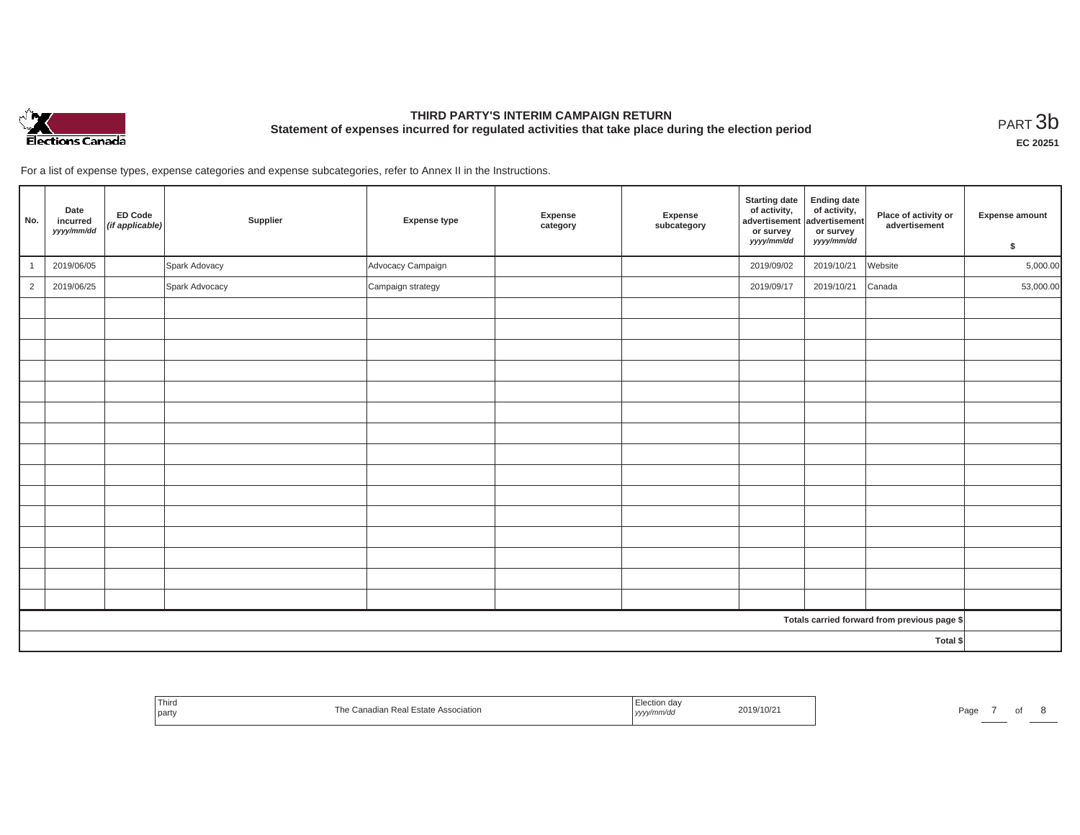

# **THIRD PARTY'S INTERIM CAMPAIGN RETURN Statement of expenses incurred for regulated activities that take place during the election period**<br>PART  $3\text{b}$

**EC 20251**

For a list of expense types, expense categories and expense subcategories, refer to Annex II in the Instructions.

| No.            | Date<br>incurred<br>yyyy/mm/dd | ED Code<br>(if applicable) | Supplier       | <b>Expense type</b> | Expense<br>category | Expense<br>subcategory | <b>Starting date</b><br>of activity,<br>advertisement<br>or survey<br>yyyy/mm/dd | <b>Ending date</b><br>of activity,<br>advertisement<br>or survey<br>yyyy/mm/dd | Place of activity or<br>advertisement        | Expense amount<br>\$ |
|----------------|--------------------------------|----------------------------|----------------|---------------------|---------------------|------------------------|----------------------------------------------------------------------------------|--------------------------------------------------------------------------------|----------------------------------------------|----------------------|
|                | 2019/06/05                     |                            | Spark Adovacy  | Advocacy Campaign   |                     |                        | 2019/09/02                                                                       | 2019/10/21                                                                     | Website                                      | 5,000.00             |
| $\overline{2}$ | 2019/06/25                     |                            | Spark Advocacy | Campaign strategy   |                     |                        | 2019/09/17                                                                       | 2019/10/21                                                                     | Canada                                       | 53,000.00            |
|                |                                |                            |                |                     |                     |                        |                                                                                  |                                                                                |                                              |                      |
|                |                                |                            |                |                     |                     |                        |                                                                                  |                                                                                |                                              |                      |
|                |                                |                            |                |                     |                     |                        |                                                                                  |                                                                                |                                              |                      |
|                |                                |                            |                |                     |                     |                        |                                                                                  |                                                                                |                                              |                      |
|                |                                |                            |                |                     |                     |                        |                                                                                  |                                                                                |                                              |                      |
|                |                                |                            |                |                     |                     |                        |                                                                                  |                                                                                |                                              |                      |
|                |                                |                            |                |                     |                     |                        |                                                                                  |                                                                                |                                              |                      |
|                |                                |                            |                |                     |                     |                        |                                                                                  |                                                                                |                                              |                      |
|                |                                |                            |                |                     |                     |                        |                                                                                  |                                                                                |                                              |                      |
|                |                                |                            |                |                     |                     |                        |                                                                                  |                                                                                |                                              |                      |
|                |                                |                            |                |                     |                     |                        |                                                                                  |                                                                                |                                              |                      |
|                |                                |                            |                |                     |                     |                        |                                                                                  |                                                                                |                                              |                      |
|                |                                |                            |                |                     |                     |                        |                                                                                  |                                                                                |                                              |                      |
|                |                                |                            |                |                     |                     |                        |                                                                                  |                                                                                |                                              |                      |
|                |                                |                            |                |                     |                     |                        |                                                                                  |                                                                                |                                              |                      |
|                |                                |                            |                |                     |                     |                        |                                                                                  |                                                                                | Totals carried forward from previous page \$ |                      |
| Total \$       |                                |                            |                |                     |                     |                        |                                                                                  |                                                                                |                                              |                      |

| Third<br>Real<br>Гhе<br>Association<br>the control of the con-<br><b>ESTAT</b><br>l part | ection day<br>2019/10/2<br>. | Page<br>- - |
|------------------------------------------------------------------------------------------|------------------------------|-------------|
|------------------------------------------------------------------------------------------|------------------------------|-------------|